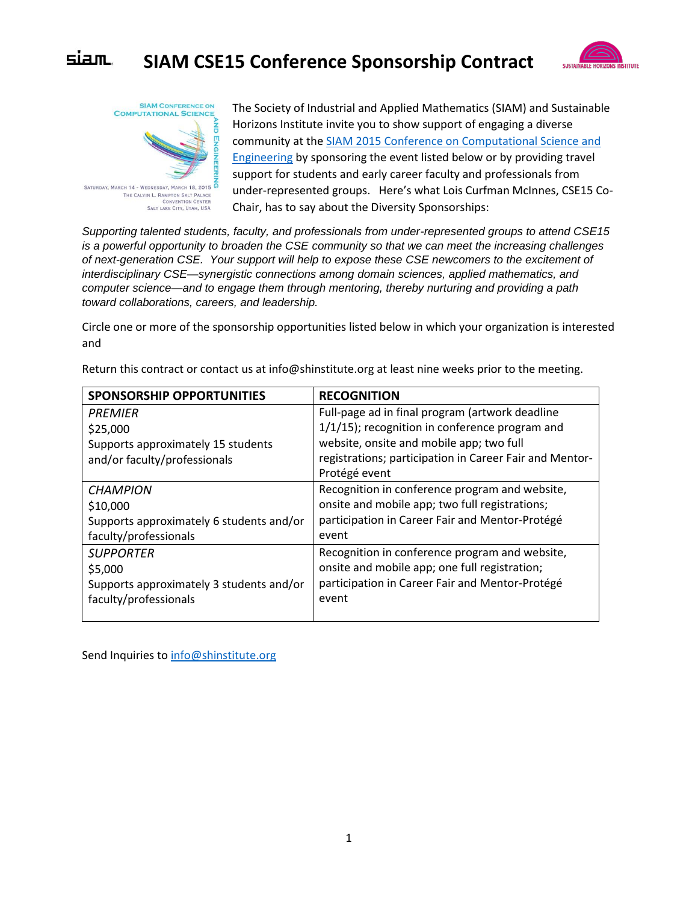## siam. **SIAM CSE15 Conference Sponsorship Contract**





The Society of Industrial and Applied Mathematics (SIAM) and Sustainable Horizons Institute invite you to show support of engaging a diverse community at the [SIAM 2015 Conference on Computational Science and](http://www.siam.org/meetings/cse15/)  [Engineering](http://www.siam.org/meetings/cse15/) by sponsoring the event listed below or by providing travel support for students and early career faculty and professionals from under-represented groups. Here's what Lois Curfman McInnes, CSE15 Co-Chair, has to say about the Diversity Sponsorships:

*Supporting talented students, faculty, and professionals from under-represented groups to attend CSE15 is a powerful opportunity to broaden the CSE community so that we can meet the increasing challenges of next-generation CSE. Your support will help to expose these CSE newcomers to the excitement of interdisciplinary CSE—synergistic connections among domain sciences, applied mathematics, and computer science—and to engage them through mentoring, thereby nurturing and providing a path toward collaborations, careers, and leadership.*

Circle one or more of the sponsorship opportunities listed below in which your organization is interested and

| <b>SPONSORSHIP OPPORTUNITIES</b>         | <b>RECOGNITION</b>                                      |
|------------------------------------------|---------------------------------------------------------|
| PREMIER                                  | Full-page ad in final program (artwork deadline         |
| \$25,000                                 | $1/1/15$ ; recognition in conference program and        |
| Supports approximately 15 students       | website, onsite and mobile app; two full                |
| and/or faculty/professionals             | registrations; participation in Career Fair and Mentor- |
|                                          | Protégé event                                           |
| <b>CHAMPION</b>                          | Recognition in conference program and website,          |
| \$10,000                                 | onsite and mobile app; two full registrations;          |
| Supports approximately 6 students and/or | participation in Career Fair and Mentor-Protégé         |
| faculty/professionals                    | event                                                   |
| <b>SUPPORTER</b>                         | Recognition in conference program and website,          |
| \$5,000                                  | onsite and mobile app; one full registration;           |
| Supports approximately 3 students and/or | participation in Career Fair and Mentor-Protégé         |
| faculty/professionals                    | event                                                   |
|                                          |                                                         |

Return this contract or contact us at info@shinstitute.org at least nine weeks prior to the meeting.

Send Inquiries to [info@shinstitute.org](mailto:info@shinstitute.org)